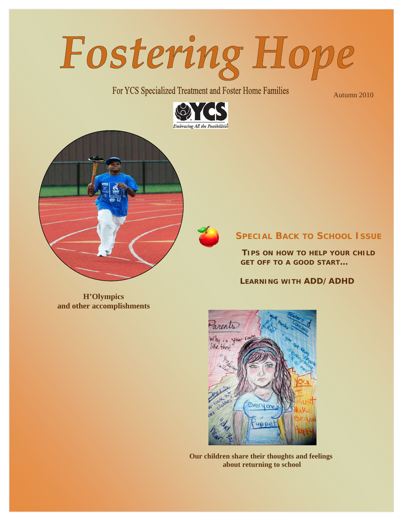

For YCS Specialized Treatment and Foster Home Families

Autumn 2010



**SPECIAL BACK TO SCHOOL ISSUE**

*TIPS ON HOW TO HELP YOUR CHILD GET OFF TO A GOOD START…* 

 *LEARNING WITH ADD/ADHD* 

**H'Olympics and other accomplishments** 



**Our children share their thoughts and feelings about returning to school**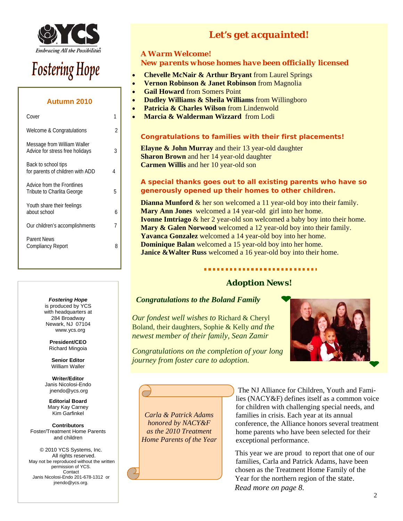

# **Fostering Hope**

# **Autumn 2010**

| Cover                                                          |   |
|----------------------------------------------------------------|---|
| Welcome & Congratulations                                      | 2 |
| Message from William Waller<br>Advice for stress free holidays | 3 |
| Back to school tips<br>for parents of children with ADD        | 4 |
| Advice from the Frontlines<br>Tribute to Charlita George       | 5 |
| Youth share their feelings<br>about school                     | 6 |
| Our children's accomplishments                                 | 7 |
| <b>Parent News</b><br>Compliancy Report                        | ጸ |
|                                                                |   |

#### *Fostering Hope*

is produced by YCS with headquarters at 284 Broadway Newark, NJ 07104 www.ycs.org

**President/CEO**  Richard Mingoia

**Senior Editor**  William Waller

**Writer/Editor**  Janis Nicolosi-Endo jnendo@ycs.org

**Editorial Board**  Mary Kay Carney Kim Garfinkel

**Contributors**  Foster/Treatment Home Parents and children

© 2010 YCS Systems, Inc. All rights reserved. May not be reproduced without the written permission of YCS. Contact Janis Nicolosi-Endo 201-678-1312 or jnendo@ycs.org.

# *Let's get acquainted!*

# *A Warm Welcome! New parents whose homes have been officially licensed*

- **Chevelle McNair & Arthur Bryant** from Laurel Springs
- **Vernon Robinson & Janet Robinson** from Magnolia
- **Gail Howard** from Somers Point
- **Dudley Williams & Sheila Williams** from Willingboro
- **Patricia & Charles Wilson** from Lindenwold
- **Marcia & Walderman Wizzard** from Lodi

#### *Congratulations to families with their first placements!*

**Elayne & John Murray** and their 13 year-old daughter **Sharon Brown** and her 14 year-old daughter **Carmen Willis and her 10 year-old son** 

#### *A special thanks goes out to all existing parents who have so generously opened up their homes to other children.*

**Dianna Munford &** her son welcomed a 11 year-old boy into their family. **Mary Ann Jones** welcomed a 14 year-old girl into her home. **Ivonne Imtriago** & her 2 year-old son welcomed a baby boy into their home. **Mary & Galen Norwood** welcomed a 12 year-old boy into their family. **Yavanca Gonzalez** welcomed a 14 year-old boy into her home. **Dominique Balan** welcomed a 15 year-old boy into her home. **Janice &Walter Russ** welcomed a 16 year-old boy into their home.

# *Adoption News!*

# *Congratulations to the Boland Family*

*Our fondest well wishes to* Richard & Cheryl Boland, their daughters, Sophie & Kelly *and the newest member of their family, Sean Zamir* 

*Congratulations on the completion of your long journey from foster care to adoption.*

*Carla & Patrick Adams honored by NACY&F as the 2010 Treatment Home Parents of the Year* 



#### The NJ Alliance for Children, Youth and Families (NACY&F) defines itself as a common voice for children with challenging special needs, and families in crisis. Each year at its annual conference, the Alliance honors several treatment home parents who have been selected for their exceptional performance.

 This year we are proud to report that one of our families, Carla and Patrick Adams, have been chosen as the Treatment Home Family of the Year for the northern region of the state. *Read more on page 8.*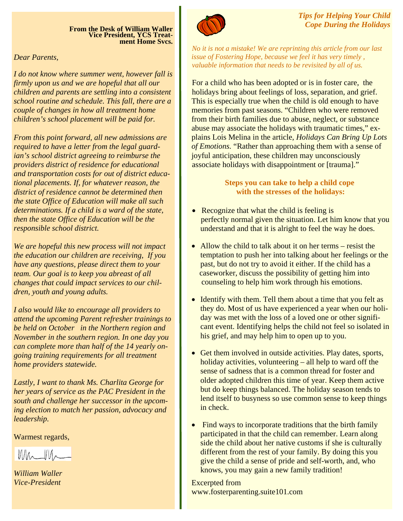**From the Desk of William Waller Vice President, YCS Treat- ment Home Svcs.** 

*Dear Parents,* 

*I do not know where summer went, however fall is firmly upon us and we are hopeful that all our children and parents are settling into a consistent school routine and schedule. This fall, there are a couple of changes in how all treatment home children's school placement will be paid for.* 

*From this point forward, all new admissions are required to have a letter from the legal guardian's school district agreeing to reimburse the providers district of residence for educational and transportation costs for out of district educational placements. If, for whatever reason, the district of residence cannot be determined then the state Office of Education will make all such determinations. If a child is a ward of the state, then the state Office of Education will be the responsible school district.* 

*We are hopeful this new process will not impact the education our children are receiving, If you have any questions, please direct them to your team. Our goal is to keep you abreast of all changes that could impact services to our children, youth and young adults.* 

*I also would like to encourage all providers to attend the upcoming Parent refresher trainings to be held on October in the Northern region and November in the southern region. In one day you can complete more than half of the 14 yearly ongoing training requirements for all treatment home providers statewide.* 

*Lastly, I want to thank Ms. Charlita George for her years of service as the PAC President in the south and challenge her successor in the upcoming election to match her passion, advocacy and leadership.* 

Warmest regards,

 $WW_{\sim}$ 

*William Waller Vice-President* 



*Tips for Helping Your Child Cope During the Holidays* 

*No it is not a mistake! We are reprinting this article from our last issue of Fostering Hope, because we feel it has very timely , valuable information that needs to be revisited by all of us.* 

For a child who has been adopted or is in foster care, the holidays bring about feelings of loss, separation, and grief. This is especially true when the child is old enough to have memories from past seasons. "Children who were removed from their birth families due to abuse, neglect, or substance abuse may associate the holidays with traumatic times," explains Lois Melina in the article, *Holidays Can Bring Up Lots of Emotions.* "Rather than approaching them with a sense of joyful anticipation, these children may unconsciously associate holidays with disappointment or [trauma]."

# **Steps you can take to help a child cope with the stresses of the holidays:**

- Recognize that what the child is feeling is perfectly normal given the situation. Let him know that you understand and that it is alright to feel the way he does.
- Allow the child to talk about it on her terms resist the temptation to push her into talking about her feelings or the past, but do not try to avoid it either. If the child has a caseworker, discuss the possibility of getting him into counseling to help him work through his emotions.
- Identify with them. Tell them about a time that you felt as they do. Most of us have experienced a year when our holiday was met with the loss of a loved one or other significant event. Identifying helps the child not feel so isolated in his grief, and may help him to open up to you.
- Get them involved in outside activities. Play dates, sports, holiday activities, volunteering – all help to ward off the sense of sadness that is a common thread for foster and older adopted children this time of year. Keep them active but do keep things balanced. The holiday season tends to lend itself to busyness so use common sense to keep things in check.
- Find ways to incorporate traditions that the birth family participated in that the child can remember. Learn along side the child about her native customs if she is culturally different from the rest of your family. By doing this you give the child a sense of pride and self-worth, and, who knows, you may gain a new family tradition!

Excerpted from www.fosterparenting.suite101.com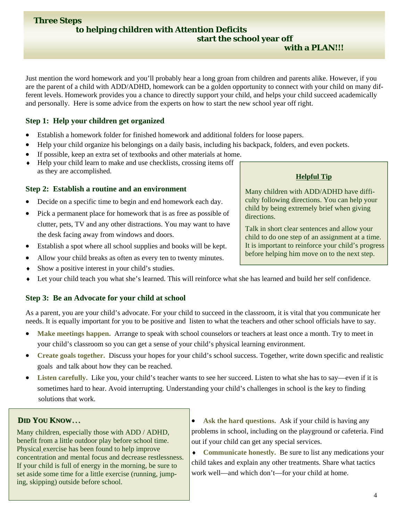Just mention the word homework and you'll probably hear a long groan from children and parents alike. However, if you are the parent of a child with ADD/ADHD, homework can be a golden opportunity to connect with your child on many different levels. Homework provides you a chance to directly support your child, and helps your child succeed academically and personally. Here is some advice from the experts on how to start the new school year off right.

# **Step 1: Help your children get organized**

- Establish a homework folder for finished homework and additional folders for loose papers.
- Help your child organize his belongings on a daily basis, including his backpack, folders, and even pockets.
- If possible, keep an extra set of textbooks and other materials at home.
- ♦ Help your child learn to make and use checklists, crossing items off as they are accomplished.

# **Step 2: Establish a routine and an environment**

- Decide on a specific time to begin and end homework each day.
- Pick a permanent place for homework that is as free as possible of clutter, pets, TV and any other distractions. You may want to have the desk facing away from windows and doors.
- Establish a spot where all school supplies and books will be kept.
- Allow your child breaks as often as every ten to twenty minutes.
- ♦ Show a positive interest in your child's studies.
- Let your child teach you what she's learned. This will reinforce what she has learned and build her self confidence.

# **Step 3: Be an Advocate for your child at school**

As a parent, you are your child's advocate. For your child to succeed in the classroom, it is vital that you communicate her needs. It is equally important for you to be positive and listen to what the teachers and other school officials have to say.

- Make meetings happen. Arrange to speak with school counselors or teachers at least once a month. Try to meet in your child's classroom so you can get a sense of your child's physical learning environment.
- **Create goals together.** Discuss your hopes for your child's school success. Together, write down specific and realistic goals and talk about how they can be reached.
- Listen carefully. Like you, your child's teacher wants to see her succeed. Listen to what she has to say—even if it is sometimes hard to hear. Avoid interrupting. Understanding your child's challenges in school is the key to finding solutions that work.

# **DID YOU KNOW**…

Many children, especially those with ADD / ADHD, benefit from a little outdoor play before school time. Physical exercise has been found to help improve concentration and mental focus and decrease restlessness. If your child is full of energy in the morning, be sure to set aside some time for a little exercise (running, jumping, skipping) outside before school.

- **Ask the hard questions.** Ask if your child is having any problems in school, including on the playground or cafeteria. Find out if your child can get any special services.
- ♦ **Communicate honestly.** Be sure to list any medications your child takes and explain any other treatments. Share what tactics work well—and which don't—for your child at home.

# **Helpful Tip**

 **with a PLAN!!!**

Many children with ADD/ADHD have difficulty following directions. You can help your child by being extremely brief when giving directions.

Talk in short clear sentences and allow your child to do one step of an assignment at a time. It is important to reinforce your child's progress before helping him move on to the next step.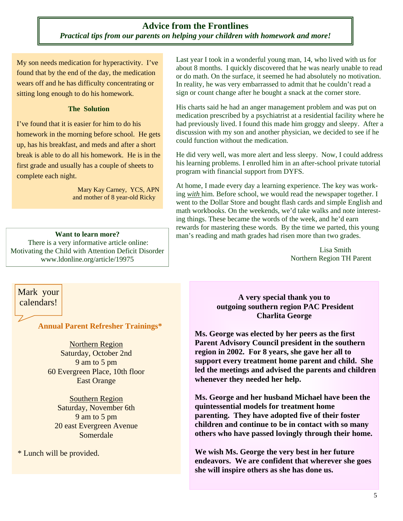# **Advice from the Frontlines**  *Practical tips from our parents on helping your children with homework and more!*

My son needs medication for hyperactivity. I've found that by the end of the day, the medication wears off and he has difficulty concentrating or sitting long enough to do his homework.

#### **The Solution**

I've found that it is easier for him to do his homework in the morning before school. He gets up, has his breakfast, and meds and after a short break is able to do all his homework. He is in the first grade and usually has a couple of sheets to complete each night.

> Mary Kay Carney, YCS, APN and mother of 8 year-old Ricky

#### **Want to learn more?**

 There is a very informative article online: Motivating the Child with Attention Deficit Disorder www.ldonline.org/article/19975

Last year I took in a wonderful young man, 14, who lived with us for about 8 months. I quickly discovered that he was nearly unable to read or do math. On the surface, it seemed he had absolutely no motivation. In reality, he was very embarrassed to admit that he couldn't read a sign or count change after he bought a snack at the corner store.

His charts said he had an anger management problem and was put on medication prescribed by a psychiatrist at a residential facility where he had previously lived. I found this made him groggy and sleepy. After a discussion with my son and another physician, we decided to see if he could function without the medication.

He did very well, was more alert and less sleepy. Now, I could address his learning problems. I enrolled him in an after-school private tutorial program with financial support from DYFS.

At home, I made every day a learning experience. The key was working *with* him. Before school, we would read the newspaper together. I went to the Dollar Store and bought flash cards and simple English and math workbooks. On the weekends, we'd take walks and note interesting things. These became the words of the week, and he'd earn rewards for mastering these words. By the time we parted, this young man's reading and math grades had risen more than two grades.

> Lisa Smith Northern Region TH Parent

Mark your calendars!

**Annual Parent Refresher Trainings\*** 

Northern Region Saturday, October 2nd 9 am to 5 pm 60 Evergreen Place, 10th floor East Orange

Southern Region Saturday, November 6th 9 am to 5 pm 20 east Evergreen Avenue Somerdale

\* Lunch will be provided.

# **A very special thank you to outgoing southern region PAC President Charlita George**

**Ms. George was elected by her peers as the first Parent Advisory Council president in the southern region in 2002. For 8 years, she gave her all to support every treatment home parent and child. She led the meetings and advised the parents and children whenever they needed her help.** 

**Ms. George and her husband Michael have been the quintessential models for treatment home parenting. They have adopted five of their foster children and continue to be in contact with so many others who have passed lovingly through their home.** 

**We wish Ms. George the very best in her future endeavors. We are confident that wherever she goes she will inspire others as she has done us.**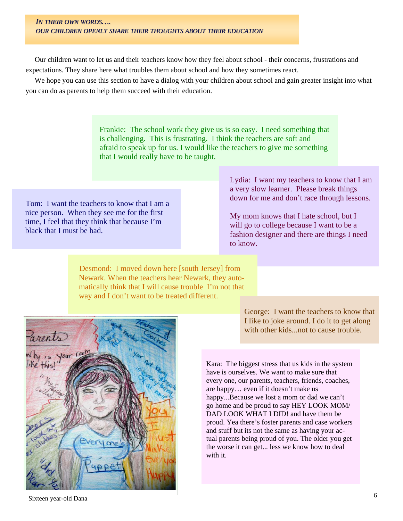#### *IN THEIR OWN WORDS…. OUR CHILDREN OPENLY SHARE THEIR THOUGHTS THOUGHTS ABOUT THEIR EDUCATION*

 Our children want to let us and their teachers know how they feel about school - their concerns, frustrations and expectations. They share here what troubles them about school and how they sometimes react.

 We hope you can use this section to have a dialog with your children about school and gain greater insight into what you can do as parents to help them succeed with their education.

> Frankie: The school work they give us is so easy. I need something that is challenging. This is frustrating. I think the teachers are soft and afraid to speak up for us. I would like the teachers to give me something that I would really have to be taught.

Tom: I want the teachers to know that I am a nice person. When they see me for the first time, I feel that they think that because I'm black that I must be bad.

Lydia: I want my teachers to know that I am a very slow learner. Please break things down for me and don't race through lessons.

My mom knows that I hate school, but I will go to college because I want to be a fashion designer and there are things I need to know.

Desmond: I moved down here [south Jersey] from Newark. When the teachers hear Newark, they automatically think that I will cause trouble I'm not that way and I don't want to be treated different.



George: I want the teachers to know that I like to joke around. I do it to get along with other kids...not to cause trouble.

Kara: The biggest stress that us kids in the system have is ourselves. We want to make sure that every one, our parents, teachers, friends, coaches, are happy… even if it doesn't make us happy...Because we lost a mom or dad we can't go home and be proud to say HEY LOOK MOM/ DAD LOOK WHAT I DID! and have them be proud. Yea there's foster parents and case workers and stuff but its not the same as having your actual parents being proud of you. The older you get the worse it can get... less we know how to deal with it.

Sixteen year-old Dana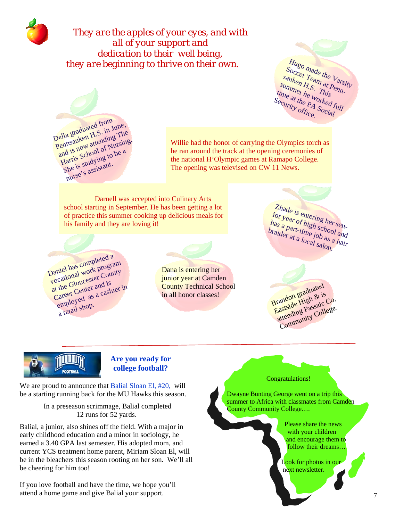

*They are the apples of your eyes, and with all of your support and dedication to their well being, they are beginning to thrive on their own.* 



Della graduated from Pennsauken H.S. in June, and is now attending The Harris School of Nursing. She is studying to be a nurse's assistant.

Willie had the honor of carrying the Olympics torch as he ran around the track at the opening ceremonies of the national H'Olympic games at Ramapo College. The opening was televised on CW 11 News.

Darnell was accepted into Culinary Arts school starting in September. He has been getting a lot of practice this summer cooking up delicious meals for his family and they are loving it!

Daniel has completed <sup>a</sup> vocational work program at the Gloucester County Career Center and is employed as a cashier in  $\frac{1}{a}$  retail shop.

Dana is entering her junior year at Camden County Technical School in all honor classes!

Zhade is entering her senior year of high school and has <sup>a</sup> part-time job as <sup>a</sup> hair braider at a local salon.

Brandon graduated Eastside High & is attending Passaic Co. Community College.



# **Are you ready for college football?**

We are proud to announce that Balial Sloan El, #20, will be a starting running back for the MU Hawks this season.

> In a preseason scrimmage, Balial completed 12 runs for 52 yards.

Balial, a junior, also shines off the field. With a major in early childhood education and a minor in sociology, he earned a 3.40 GPA last semester. His adopted mom, and current YCS treatment home parent, Miriam Sloan El, will be in the bleachers this season rooting on her son. We'll all be cheering for him too!

If you love football and have the time, we hope you'll attend a home game and give Balial your support.



Dwayne Bunting George went on a trip this summer to Africa with classmates from Camden County Community College….

> Please share the news with your children and encourage them to follow their dreams…

 Look for photos in our next newsletter.